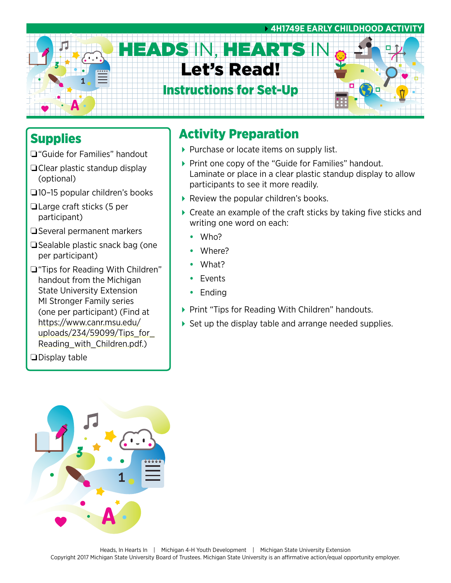

### **Supplies**

- ❏"Guide for Families" handout
- ❏Clear plastic standup display (optional)
- ❏10–15 popular children's books
- ❏Large craft sticks (5 per participant)
- ❏Several permanent markers
- ❏Sealable plastic snack bag (one per participant)
- ❏"Tips for Reading With Children" handout from the Michigan State University Extension MI Stronger Family series (one per participant) (Find at [https://www.canr.msu.edu/](https://www.canr.msu.edu/uploads/234/59099/Tips_for_Reading_with_Children.pdf) uploads/234/59099/Tips for [Reading\\_with\\_Children.pdf.](https://www.canr.msu.edu/uploads/234/59099/Tips_for_Reading_with_Children.pdf))

❏Display table

## Activity Preparation

- Purchase or locate items on supply list.
- ▶ Print one copy of the "Guide for Families" handout. Laminate or place in a clear plastic standup display to allow participants to see it more readily.
- Review the popular children's books.
- ▶ Create an example of the craft sticks by taking five sticks and writing one word on each:
	- **•** Who?
	- **•** Where?
	- **•** What?
	- **•** Events
	- **•** Ending
- ▶ Print "Tips for Reading With Children" handouts.
- Set up the display table and arrange needed supplies.